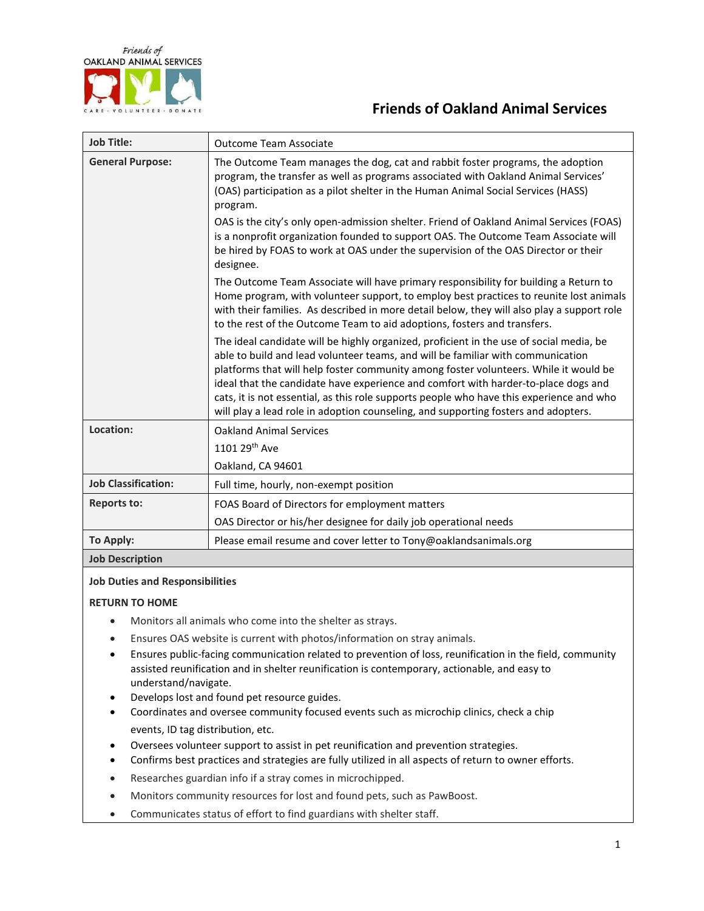

## **Friends of Oakland Animal Services**

| <b>Job Title:</b>          | <b>Outcome Team Associate</b>                                                                                                                                                                                                                                                                                                                                                                                                                                                                                                              |
|----------------------------|--------------------------------------------------------------------------------------------------------------------------------------------------------------------------------------------------------------------------------------------------------------------------------------------------------------------------------------------------------------------------------------------------------------------------------------------------------------------------------------------------------------------------------------------|
| <b>General Purpose:</b>    | The Outcome Team manages the dog, cat and rabbit foster programs, the adoption<br>program, the transfer as well as programs associated with Oakland Animal Services'<br>(OAS) participation as a pilot shelter in the Human Animal Social Services (HASS)<br>program.                                                                                                                                                                                                                                                                      |
|                            | OAS is the city's only open-admission shelter. Friend of Oakland Animal Services (FOAS)<br>is a nonprofit organization founded to support OAS. The Outcome Team Associate will<br>be hired by FOAS to work at OAS under the supervision of the OAS Director or their<br>designee.                                                                                                                                                                                                                                                          |
|                            | The Outcome Team Associate will have primary responsibility for building a Return to<br>Home program, with volunteer support, to employ best practices to reunite lost animals<br>with their families. As described in more detail below, they will also play a support role<br>to the rest of the Outcome Team to aid adoptions, fosters and transfers.                                                                                                                                                                                   |
|                            | The ideal candidate will be highly organized, proficient in the use of social media, be<br>able to build and lead volunteer teams, and will be familiar with communication<br>platforms that will help foster community among foster volunteers. While it would be<br>ideal that the candidate have experience and comfort with harder-to-place dogs and<br>cats, it is not essential, as this role supports people who have this experience and who<br>will play a lead role in adoption counseling, and supporting fosters and adopters. |
| Location:                  | <b>Oakland Animal Services</b><br>1101 29th Ave<br>Oakland, CA 94601                                                                                                                                                                                                                                                                                                                                                                                                                                                                       |
| <b>Job Classification:</b> | Full time, hourly, non-exempt position                                                                                                                                                                                                                                                                                                                                                                                                                                                                                                     |
| <b>Reports to:</b>         | FOAS Board of Directors for employment matters<br>OAS Director or his/her designee for daily job operational needs                                                                                                                                                                                                                                                                                                                                                                                                                         |
| To Apply:                  | Please email resume and cover letter to Tony@oaklandsanimals.org                                                                                                                                                                                                                                                                                                                                                                                                                                                                           |
| <b>Job Description</b>     |                                                                                                                                                                                                                                                                                                                                                                                                                                                                                                                                            |

## **Job Duties and Responsibilities**

### **RETURN TO HOME**

- Monitors all animals who come into the shelter as strays.
- Ensures OAS website is current with photos/information on stray animals.
- Ensures public-facing communication related to prevention of loss, reunification in the field, community assisted reunification and in shelter reunification is contemporary, actionable, and easy to understand/navigate.
- Develops lost and found pet resource guides.
- Coordinates and oversee community focused events such as microchip clinics, check a chip events, ID tag distribution, etc.
- Oversees volunteer support to assist in pet reunification and prevention strategies.
- Confirms best practices and strategies are fully utilized in all aspects of return to owner efforts.
- Researches guardian info if a stray comes in microchipped.
- Monitors community resources for lost and found pets, such as PawBoost.
- Communicates status of effort to find guardians with shelter staff.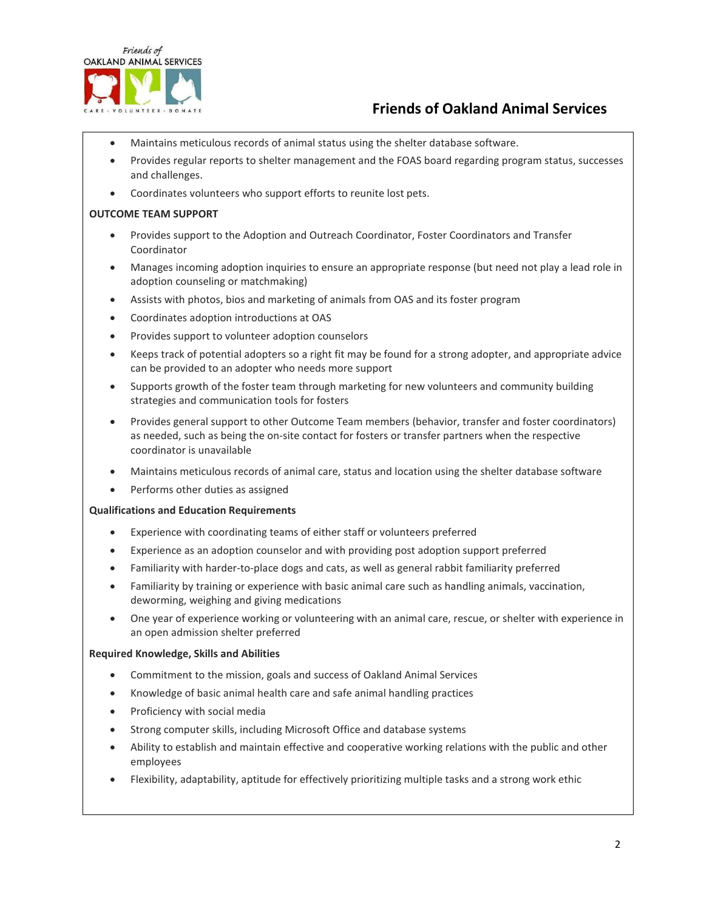

# **Friends of Oakland Animal Services**

- Maintains meticulous records of animal status using the shelter database software.
- Provides regular reports to shelter management and the FOAS board regarding program status, successes and challenges.
- Coordinates volunteers who support efforts to reunite lost pets.

### **OUTCOME TEAM SUPPORT**

- Provides support to the Adoption and Outreach Coordinator, Foster Coordinators and Transfer Coordinator
- Manages incoming adoption inquiries to ensure an appropriate response (but need not play a lead role in adoption counseling or matchmaking)
- Assists with photos, bios and marketing of animals from OAS and its foster program
- Coordinates adoption introductions at OAS
- Provides support to volunteer adoption counselors
- Keeps track of potential adopters so a right fit may be found for a strong adopter, and appropriate advice can be provided to an adopter who needs more support
- Supports growth of the foster team through marketing for new volunteers and community building strategies and communication tools for fosters
- Provides general support to other Outcome Team members (behavior, transfer and foster coordinators) as needed, such as being the on-site contact for fosters or transfer partners when the respective coordinator is unavailable
- Maintains meticulous records of animal care, status and location using the shelter database software
- Performs other duties as assigned

#### **Qualifications and Education Requirements**

- Experience with coordinating teams of either staff or volunteers preferred
- Experience as an adoption counselor and with providing post adoption support preferred
- Familiarity with harder-to-place dogs and cats, as well as general rabbit familiarity preferred
- Familiarity by training or experience with basic animal care such as handling animals, vaccination, deworming, weighing and giving medications
- One year of experience working or volunteering with an animal care, rescue, or shelter with experience in an open admission shelter preferred

#### **Required Knowledge, Skills and Abilities**

- Commitment to the mission, goals and success of Oakland Animal Services
- Knowledge of basic animal health care and safe animal handling practices
- Proficiency with social media
- Strong computer skills, including Microsoft Office and database systems
- Ability to establish and maintain effective and cooperative working relations with the public and other employees
- Flexibility, adaptability, aptitude for effectively prioritizing multiple tasks and a strong work ethic